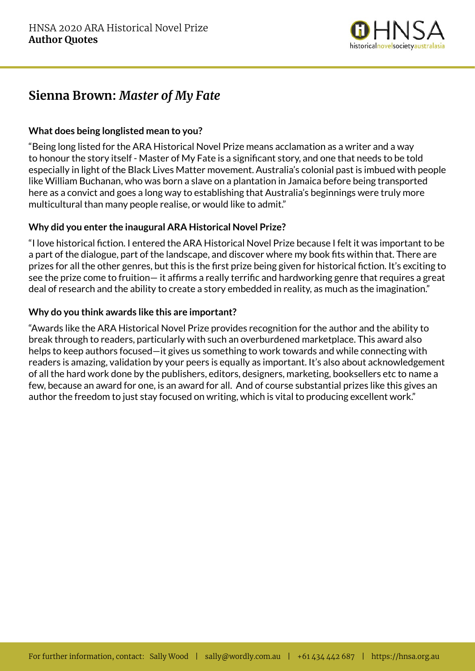

## **Sienna Brown:** *Master of My Fate*

## **What does being longlisted mean to you?**

"Being long listed for the ARA Historical Novel Prize means acclamation as a writer and a way to honour the story itself - Master of My Fate is a significant story, and one that needs to be told especially in light of the Black Lives Matter movement. Australia's colonial past is imbued with people like William Buchanan, who was born a slave on a plantation in Jamaica before being transported here as a convict and goes a long way to establishing that Australia's beginnings were truly more multicultural than many people realise, or would like to admit."

## **Why did you enter the inaugural ARA Historical Novel Prize?**

"I love historical fiction. I entered the ARA Historical Novel Prize because I felt it was important to be a part of the dialogue, part of the landscape, and discover where my book fits within that. There are prizes for all the other genres, but this is the first prize being given for historical fiction. It's exciting to see the prize come to fruition— it affirms a really terrific and hardworking genre that requires a great deal of research and the ability to create a story embedded in reality, as much as the imagination."

### **Why do you think awards like this are important?**

"Awards like the ARA Historical Novel Prize provides recognition for the author and the ability to break through to readers, particularly with such an overburdened marketplace. This award also helps to keep authors focused—it gives us something to work towards and while connecting with readers is amazing, validation by your peers is equally as important. It's also about acknowledgement of all the hard work done by the publishers, editors, designers, marketing, booksellers etc to name a few, because an award for one, is an award for all. And of course substantial prizes like this gives an author the freedom to just stay focused on writing, which is vital to producing excellent work."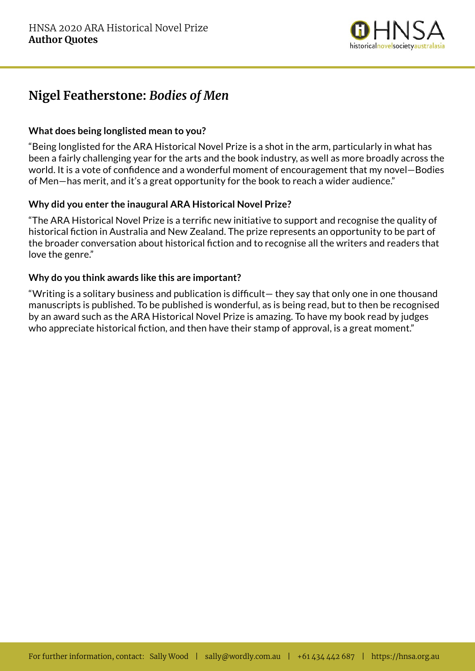

# **Nigel Featherstone:** *Bodies of Men*

## **What does being longlisted mean to you?**

"Being longlisted for the ARA Historical Novel Prize is a shot in the arm, particularly in what has been a fairly challenging year for the arts and the book industry, as well as more broadly across the world. It is a vote of confidence and a wonderful moment of encouragement that my novel—Bodies of Men—has merit, and it's a great opportunity for the book to reach a wider audience."

## **Why did you enter the inaugural ARA Historical Novel Prize?**

"The ARA Historical Novel Prize is a terrific new initiative to support and recognise the quality of historical fiction in Australia and New Zealand. The prize represents an opportunity to be part of the broader conversation about historical fiction and to recognise all the writers and readers that love the genre."

### **Why do you think awards like this are important?**

"Writing is a solitary business and publication is difficult— they say that only one in one thousand manuscripts is published. To be published is wonderful, as is being read, but to then be recognised by an award such as the ARA Historical Novel Prize is amazing. To have my book read by judges who appreciate historical fiction, and then have their stamp of approval, is a great moment."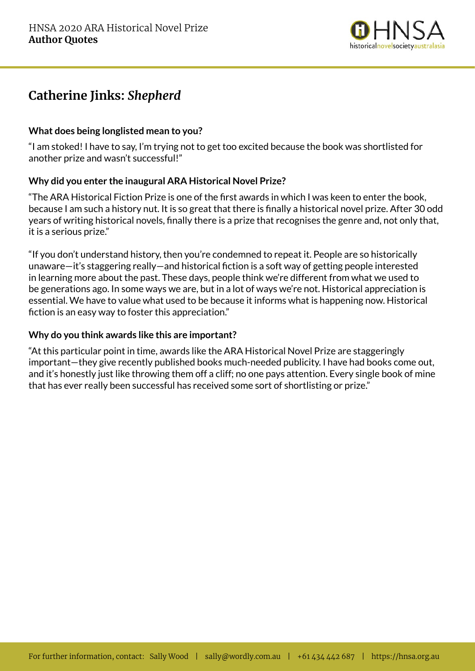

# **Catherine Jinks:** *Shepherd*

## **What does being longlisted mean to you?**

"I am stoked! I have to say, I'm trying not to get too excited because the book was shortlisted for another prize and wasn't successful!"

### **Why did you enter the inaugural ARA Historical Novel Prize?**

"The ARA Historical Fiction Prize is one of the first awards in which I was keen to enter the book, because I am such a history nut. It is so great that there is finally a historical novel prize. After 30 odd years of writing historical novels, finally there is a prize that recognises the genre and, not only that, it is a serious prize."

"If you don't understand history, then you're condemned to repeat it. People are so historically unaware—it's staggering really—and historical fiction is a soft way of getting people interested in learning more about the past. These days, people think we're different from what we used to be generations ago. In some ways we are, but in a lot of ways we're not. Historical appreciation is essential. We have to value what used to be because it informs what is happening now. Historical fiction is an easy way to foster this appreciation."

### **Why do you think awards like this are important?**

"At this particular point in time, awards like the ARA Historical Novel Prize are staggeringly important—they give recently published books much-needed publicity. I have had books come out, and it's honestly just like throwing them off a cliff; no one pays attention. Every single book of mine that has ever really been successful has received some sort of shortlisting or prize."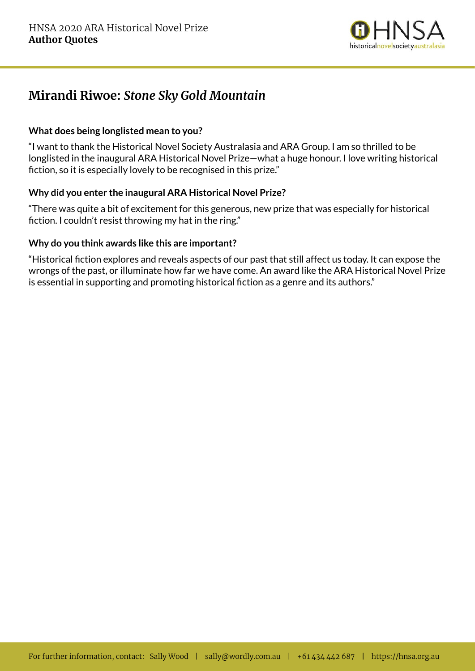

## **Mirandi Riwoe:** *Stone Sky Gold Mountain*

### **What does being longlisted mean to you?**

"I want to thank the Historical Novel Society Australasia and ARA Group. I am so thrilled to be longlisted in the inaugural ARA Historical Novel Prize—what a huge honour. I love writing historical fiction, so it is especially lovely to be recognised in this prize."

### **Why did you enter the inaugural ARA Historical Novel Prize?**

"There was quite a bit of excitement for this generous, new prize that was especially for historical fiction. I couldn't resist throwing my hat in the ring."

#### **Why do you think awards like this are important?**

"Historical fiction explores and reveals aspects of our past that still affect us today. It can expose the wrongs of the past, or illuminate how far we have come. An award like the ARA Historical Novel Prize is essential in supporting and promoting historical fiction as a genre and its authors."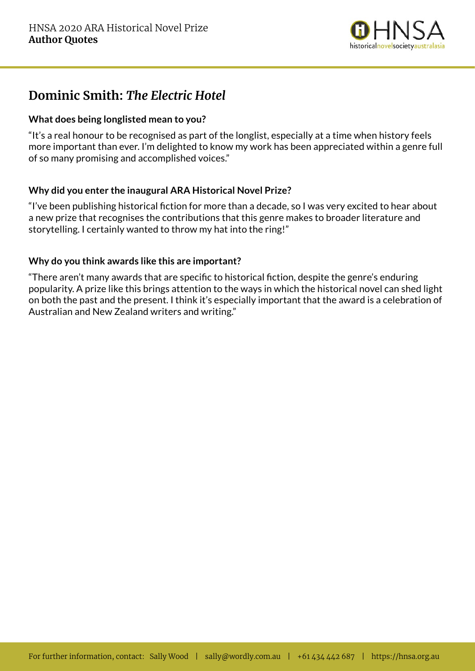

## **Dominic Smith:** *The Electric Hotel*

## **What does being longlisted mean to you?**

"It's a real honour to be recognised as part of the longlist, especially at a time when history feels more important than ever. I'm delighted to know my work has been appreciated within a genre full of so many promising and accomplished voices."

## **Why did you enter the inaugural ARA Historical Novel Prize?**

"I've been publishing historical fiction for more than a decade, so I was very excited to hear about a new prize that recognises the contributions that this genre makes to broader literature and storytelling. I certainly wanted to throw my hat into the ring!"

### **Why do you think awards like this are important?**

"There aren't many awards that are specific to historical fiction, despite the genre's enduring popularity. A prize like this brings attention to the ways in which the historical novel can shed light on both the past and the present. I think it's especially important that the award is a celebration of Australian and New Zealand writers and writing."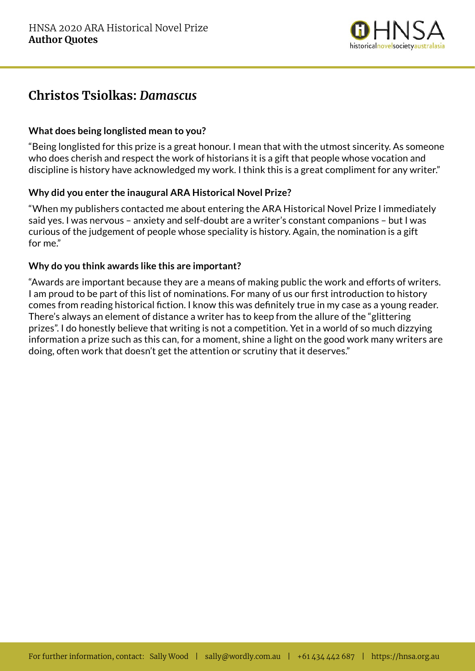

## **Christos Tsiolkas:** *Damascus*

## **What does being longlisted mean to you?**

"Being longlisted for this prize is a great honour. I mean that with the utmost sincerity. As someone who does cherish and respect the work of historians it is a gift that people whose vocation and discipline is history have acknowledged my work. I think this is a great compliment for any writer."

### **Why did you enter the inaugural ARA Historical Novel Prize?**

"When my publishers contacted me about entering the ARA Historical Novel Prize I immediately said yes. I was nervous – anxiety and self-doubt are a writer's constant companions – but I was curious of the judgement of people whose speciality is history. Again, the nomination is a gift for me."

### **Why do you think awards like this are important?**

"Awards are important because they are a means of making public the work and efforts of writers. I am proud to be part of this list of nominations. For many of us our first introduction to history comes from reading historical fiction. I know this was definitely true in my case as a young reader. There's always an element of distance a writer has to keep from the allure of the "glittering prizes". I do honestly believe that writing is not a competition. Yet in a world of so much dizzying information a prize such as this can, for a moment, shine a light on the good work many writers are doing, often work that doesn't get the attention or scrutiny that it deserves."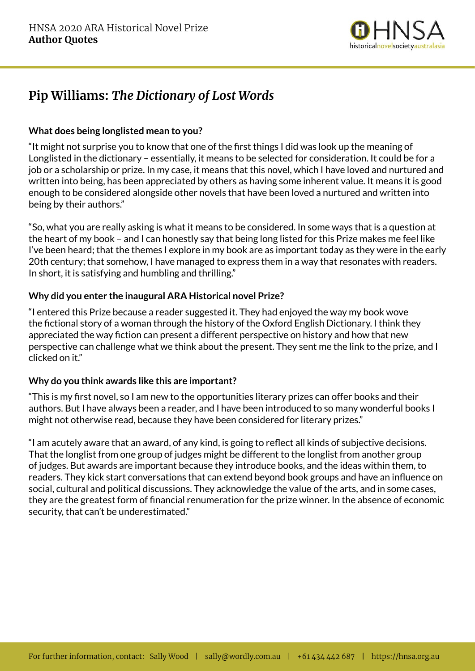

# **Pip Williams:** *The Dictionary of Lost Words*

## **What does being longlisted mean to you?**

"It might not surprise you to know that one of the first things I did was look up the meaning of Longlisted in the dictionary – essentially, it means to be selected for consideration. It could be for a job or a scholarship or prize. In my case, it means that this novel, which I have loved and nurtured and written into being, has been appreciated by others as having some inherent value. It means it is good enough to be considered alongside other novels that have been loved a nurtured and written into being by their authors."

"So, what you are really asking is what it means to be considered. In some ways that is a question at the heart of my book – and I can honestly say that being long listed for this Prize makes me feel like I've been heard; that the themes I explore in my book are as important today as they were in the early 20th century; that somehow, I have managed to express them in a way that resonates with readers. In short, it is satisfying and humbling and thrilling."

## **Why did you enter the inaugural ARA Historical novel Prize?**

"I entered this Prize because a reader suggested it. They had enjoyed the way my book wove the fictional story of a woman through the history of the Oxford English Dictionary. I think they appreciated the way fiction can present a different perspective on history and how that new perspective can challenge what we think about the present. They sent me the link to the prize, and I clicked on it."

### **Why do you think awards like this are important?**

"This is my first novel, so I am new to the opportunities literary prizes can offer books and their authors. But I have always been a reader, and I have been introduced to so many wonderful books I might not otherwise read, because they have been considered for literary prizes."

"I am acutely aware that an award, of any kind, is going to reflect all kinds of subjective decisions. That the longlist from one group of judges might be different to the longlist from another group of judges. But awards are important because they introduce books, and the ideas within them, to readers. They kick start conversations that can extend beyond book groups and have an influence on social, cultural and political discussions. They acknowledge the value of the arts, and in some cases, they are the greatest form of financial renumeration for the prize winner. In the absence of economic security, that can't be underestimated."